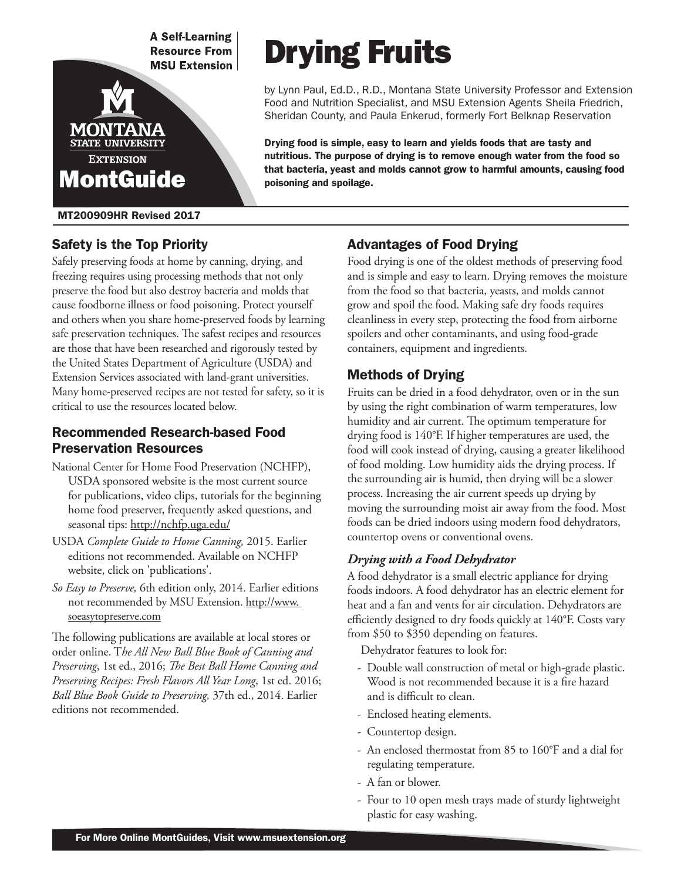**A Self-Learning Resource From MSU Extension** 



MT200909HR Revised 2017

## Safety is the Top Priority

Safely preserving foods at home by canning, drying, and freezing requires using processing methods that not only preserve the food but also destroy bacteria and molds that cause foodborne illness or food poisoning. Protect yourself and others when you share home-preserved foods by learning safe preservation techniques. The safest recipes and resources are those that have been researched and rigorously tested by the United States Department of Agriculture (USDA) and Extension Services associated with land-grant universities. Many home-preserved recipes are not tested for safety, so it is critical to use the resources located below.

## Recommended Research-based Food Preservation Resources

- National Center for Home Food Preservation (NCHFP), USDA sponsored website is the most current source for publications, video clips, tutorials for the beginning home food preserver, frequently asked questions, and seasonal tips: http://nchfp.uga.edu/
- USDA *Complete Guide to Home Canning,* 2015. Earlier editions not recommended. Available on NCHFP website, click on 'publications'.
- *So Easy to Preserve,* 6th edition only, 2014. Earlier editions not recommended by MSU Extension. http://www. soeasytopreserve.com

The following publications are available at local stores or order online. T*he All New Ball Blue Book of Canning and Preserving*, 1st ed., 2016; *The Best Ball Home Canning and Preserving Recipes: Fresh Flavors All Year Long*, 1st ed. 2016; *Ball Blue Book Guide to Preserving,* 37th ed., 2014. Earlier editions not recommended.

# Drying Fruits

by Lynn Paul, Ed.D., R.D., Montana State University Professor and Extension Food and Nutrition Specialist, and MSU Extension Agents Sheila Friedrich, Sheridan County, and Paula Enkerud, formerly Fort Belknap Reservation

Drying food is simple, easy to learn and yields foods that are tasty and nutritious. The purpose of drying is to remove enough water from the food so that bacteria, yeast and molds cannot grow to harmful amounts, causing food poisoning and spoilage.

## Advantages of Food Drying

Food drying is one of the oldest methods of preserving food and is simple and easy to learn. Drying removes the moisture from the food so that bacteria, yeasts, and molds cannot grow and spoil the food. Making safe dry foods requires cleanliness in every step, protecting the food from airborne spoilers and other contaminants, and using food-grade containers, equipment and ingredients.

## Methods of Drying

Fruits can be dried in a food dehydrator, oven or in the sun by using the right combination of warm temperatures, low humidity and air current. The optimum temperature for drying food is 140°F. If higher temperatures are used, the food will cook instead of drying, causing a greater likelihood of food molding. Low humidity aids the drying process. If the surrounding air is humid, then drying will be a slower process. Increasing the air current speeds up drying by moving the surrounding moist air away from the food. Most foods can be dried indoors using modern food dehydrators, countertop ovens or conventional ovens.

#### *Drying with a Food Dehydrator*

A food dehydrator is a small electric appliance for drying foods indoors. A food dehydrator has an electric element for heat and a fan and vents for air circulation. Dehydrators are efficiently designed to dry foods quickly at 140°F. Costs vary from \$50 to \$350 depending on features.

Dehydrator features to look for:

- Double wall construction of metal or high-grade plastic. Wood is not recommended because it is a fire hazard and is difficult to clean.
- Enclosed heating elements.
- Countertop design.
- An enclosed thermostat from 85 to 160°F and a dial for regulating temperature.
- A fan or blower.
- Four to 10 open mesh trays made of sturdy lightweight plastic for easy washing.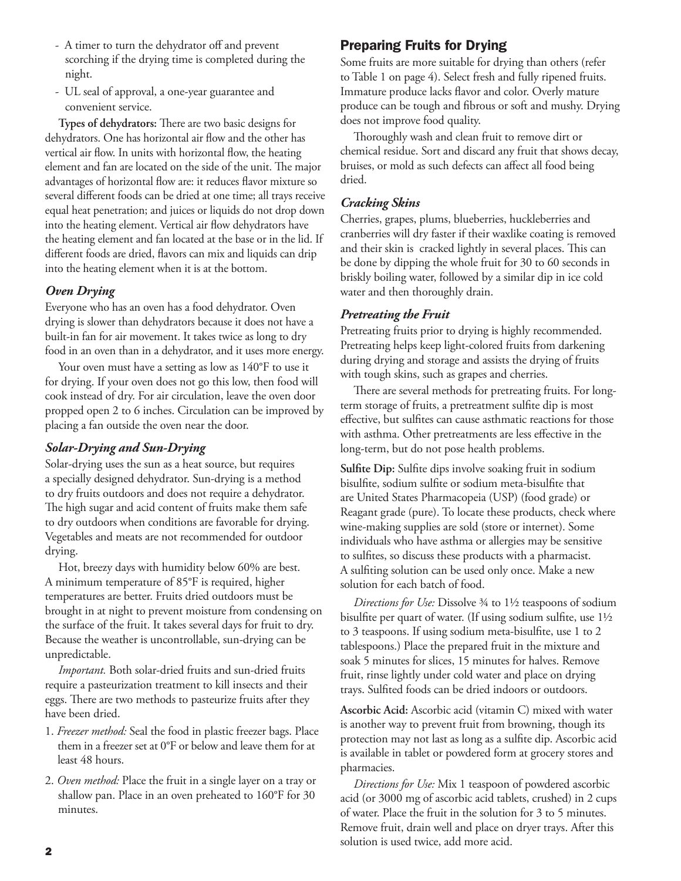- A timer to turn the dehydrator off and prevent scorching if the drying time is completed during the night.
- UL seal of approval, a one-year guarantee and convenient service.

**Types of dehydrators:** There are two basic designs for dehydrators. One has horizontal air flow and the other has vertical air flow. In units with horizontal flow, the heating element and fan are located on the side of the unit. The major advantages of horizontal flow are: it reduces flavor mixture so several different foods can be dried at one time; all trays receive equal heat penetration; and juices or liquids do not drop down into the heating element. Vertical air flow dehydrators have the heating element and fan located at the base or in the lid. If different foods are dried, flavors can mix and liquids can drip into the heating element when it is at the bottom.

#### *Oven Drying*

Everyone who has an oven has a food dehydrator. Oven drying is slower than dehydrators because it does not have a built-in fan for air movement. It takes twice as long to dry food in an oven than in a dehydrator, and it uses more energy.

Your oven must have a setting as low as 140°F to use it for drying. If your oven does not go this low, then food will cook instead of dry. For air circulation, leave the oven door propped open 2 to 6 inches. Circulation can be improved by placing a fan outside the oven near the door.

#### *Solar-Drying and Sun-Drying*

Solar-drying uses the sun as a heat source, but requires a specially designed dehydrator. Sun-drying is a method to dry fruits outdoors and does not require a dehydrator. The high sugar and acid content of fruits make them safe to dry outdoors when conditions are favorable for drying. Vegetables and meats are not recommended for outdoor drying.

Hot, breezy days with humidity below 60% are best. A minimum temperature of 85°F is required, higher temperatures are better. Fruits dried outdoors must be brought in at night to prevent moisture from condensing on the surface of the fruit. It takes several days for fruit to dry. Because the weather is uncontrollable, sun-drying can be unpredictable.

*Important.* Both solar-dried fruits and sun-dried fruits require a pasteurization treatment to kill insects and their eggs. There are two methods to pasteurize fruits after they have been dried.

- 1. *Freezer method:* Seal the food in plastic freezer bags. Place them in a freezer set at 0°F or below and leave them for at least 48 hours.
- 2. *Oven method:* Place the fruit in a single layer on a tray or shallow pan. Place in an oven preheated to 160°F for 30 minutes.

#### Preparing Fruits for Drying

Some fruits are more suitable for drying than others (refer to Table 1 on page 4). Select fresh and fully ripened fruits. Immature produce lacks flavor and color. Overly mature produce can be tough and fibrous or soft and mushy. Drying does not improve food quality.

Thoroughly wash and clean fruit to remove dirt or chemical residue. Sort and discard any fruit that shows decay, bruises, or mold as such defects can affect all food being dried.

#### *Cracking Skins*

Cherries, grapes, plums, blueberries, huckleberries and cranberries will dry faster if their waxlike coating is removed and their skin is cracked lightly in several places. This can be done by dipping the whole fruit for 30 to 60 seconds in briskly boiling water, followed by a similar dip in ice cold water and then thoroughly drain.

#### *Pretreating the Fruit*

Pretreating fruits prior to drying is highly recommended. Pretreating helps keep light-colored fruits from darkening during drying and storage and assists the drying of fruits with tough skins, such as grapes and cherries.

There are several methods for pretreating fruits. For longterm storage of fruits, a pretreatment sulfite dip is most effective, but sulfites can cause asthmatic reactions for those with asthma. Other pretreatments are less effective in the long-term, but do not pose health problems.

**Sulfite Dip:** Sulfite dips involve soaking fruit in sodium bisulfite, sodium sulfite or sodium meta-bisulfite that are United States Pharmacopeia (USP) (food grade) or Reagant grade (pure). To locate these products, check where wine-making supplies are sold (store or internet). Some individuals who have asthma or allergies may be sensitive to sulfites, so discuss these products with a pharmacist. A sulfiting solution can be used only once. Make a new solution for each batch of food.

*Directions for Use:* Dissolve ¾ to 1½ teaspoons of sodium bisulfite per quart of water. (If using sodium sulfite, use 1½ to 3 teaspoons. If using sodium meta-bisulfite, use 1 to 2 tablespoons.) Place the prepared fruit in the mixture and soak 5 minutes for slices, 15 minutes for halves. Remove fruit, rinse lightly under cold water and place on drying trays. Sulfited foods can be dried indoors or outdoors.

**Ascorbic Acid:** Ascorbic acid (vitamin C) mixed with water is another way to prevent fruit from browning, though its protection may not last as long as a sulfite dip. Ascorbic acid is available in tablet or powdered form at grocery stores and pharmacies.

*Directions for Use:* Mix 1 teaspoon of powdered ascorbic acid (or 3000 mg of ascorbic acid tablets, crushed) in 2 cups of water. Place the fruit in the solution for 3 to 5 minutes. Remove fruit, drain well and place on dryer trays. After this solution is used twice, add more acid.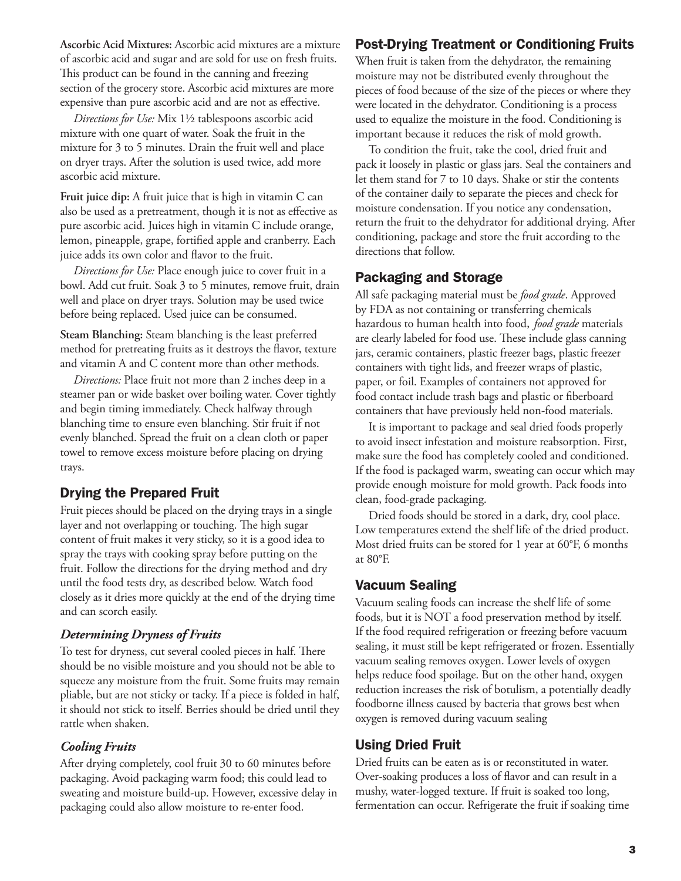**Ascorbic Acid Mixtures:** Ascorbic acid mixtures are a mixture of ascorbic acid and sugar and are sold for use on fresh fruits. This product can be found in the canning and freezing section of the grocery store. Ascorbic acid mixtures are more expensive than pure ascorbic acid and are not as effective.

*Directions for Use:* Mix 1½ tablespoons ascorbic acid mixture with one quart of water. Soak the fruit in the mixture for 3 to 5 minutes. Drain the fruit well and place on dryer trays. After the solution is used twice, add more ascorbic acid mixture.

**Fruit juice dip:** A fruit juice that is high in vitamin C can also be used as a pretreatment, though it is not as effective as pure ascorbic acid. Juices high in vitamin C include orange, lemon, pineapple, grape, fortified apple and cranberry. Each juice adds its own color and flavor to the fruit.

*Directions for Use:* Place enough juice to cover fruit in a bowl. Add cut fruit. Soak 3 to 5 minutes, remove fruit, drain well and place on dryer trays. Solution may be used twice before being replaced. Used juice can be consumed.

**Steam Blanching:** Steam blanching is the least preferred method for pretreating fruits as it destroys the flavor, texture and vitamin A and C content more than other methods.

*Directions:* Place fruit not more than 2 inches deep in a steamer pan or wide basket over boiling water. Cover tightly and begin timing immediately. Check halfway through blanching time to ensure even blanching. Stir fruit if not evenly blanched. Spread the fruit on a clean cloth or paper towel to remove excess moisture before placing on drying trays.

## Drying the Prepared Fruit

Fruit pieces should be placed on the drying trays in a single layer and not overlapping or touching. The high sugar content of fruit makes it very sticky, so it is a good idea to spray the trays with cooking spray before putting on the fruit. Follow the directions for the drying method and dry until the food tests dry, as described below. Watch food closely as it dries more quickly at the end of the drying time and can scorch easily.

#### *Determining Dryness of Fruits*

To test for dryness, cut several cooled pieces in half. There should be no visible moisture and you should not be able to squeeze any moisture from the fruit. Some fruits may remain pliable, but are not sticky or tacky. If a piece is folded in half, it should not stick to itself. Berries should be dried until they rattle when shaken.

#### *Cooling Fruits*

After drying completely, cool fruit 30 to 60 minutes before packaging. Avoid packaging warm food; this could lead to sweating and moisture build-up. However, excessive delay in packaging could also allow moisture to re-enter food.

# Post-Drying Treatment or Conditioning Fruits

When fruit is taken from the dehydrator, the remaining moisture may not be distributed evenly throughout the pieces of food because of the size of the pieces or where they were located in the dehydrator. Conditioning is a process used to equalize the moisture in the food. Conditioning is important because it reduces the risk of mold growth.

To condition the fruit, take the cool, dried fruit and pack it loosely in plastic or glass jars. Seal the containers and let them stand for 7 to 10 days. Shake or stir the contents of the container daily to separate the pieces and check for moisture condensation. If you notice any condensation, return the fruit to the dehydrator for additional drying. After conditioning, package and store the fruit according to the directions that follow.

#### Packaging and Storage

All safe packaging material must be *food grade*. Approved by FDA as not containing or transferring chemicals hazardous to human health into food, *food grade* materials are clearly labeled for food use. These include glass canning jars, ceramic containers, plastic freezer bags, plastic freezer containers with tight lids, and freezer wraps of plastic, paper, or foil. Examples of containers not approved for food contact include trash bags and plastic or fiberboard containers that have previously held non-food materials.

It is important to package and seal dried foods properly to avoid insect infestation and moisture reabsorption. First, make sure the food has completely cooled and conditioned. If the food is packaged warm, sweating can occur which may provide enough moisture for mold growth. Pack foods into clean, food-grade packaging.

Dried foods should be stored in a dark, dry, cool place. Low temperatures extend the shelf life of the dried product. Most dried fruits can be stored for 1 year at 60°F, 6 months at 80°F.

## Vacuum Sealing

Vacuum sealing foods can increase the shelf life of some foods, but it is NOT a food preservation method by itself. If the food required refrigeration or freezing before vacuum sealing, it must still be kept refrigerated or frozen. Essentially vacuum sealing removes oxygen. Lower levels of oxygen helps reduce food spoilage. But on the other hand, oxygen reduction increases the risk of botulism, a potentially deadly foodborne illness caused by bacteria that grows best when oxygen is removed during vacuum sealing

## Using Dried Fruit

Dried fruits can be eaten as is or reconstituted in water. Over-soaking produces a loss of flavor and can result in a mushy, water-logged texture. If fruit is soaked too long, fermentation can occur. Refrigerate the fruit if soaking time